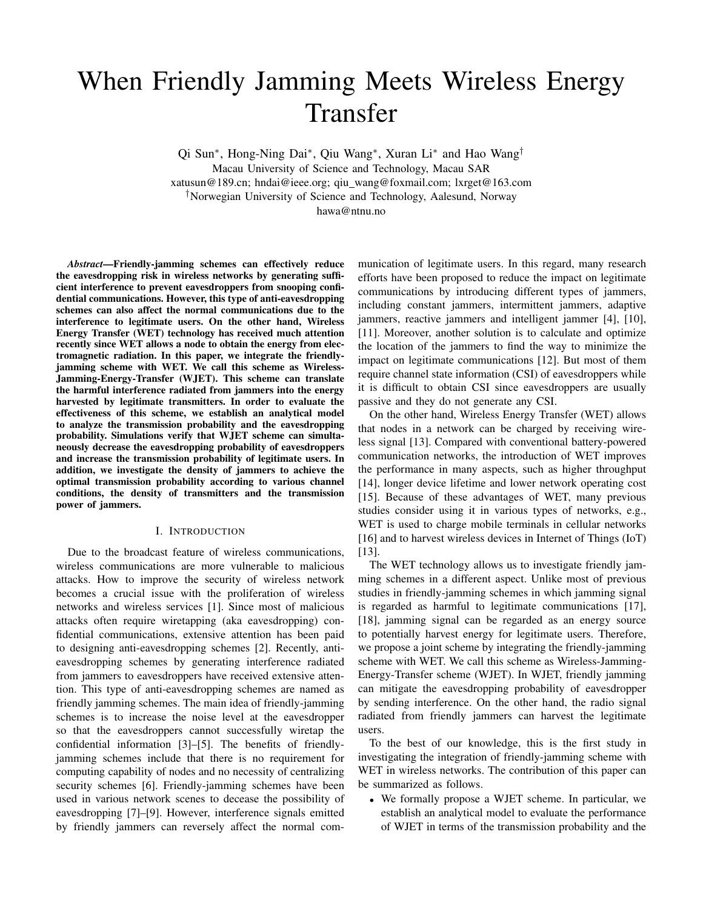# When Friendly Jamming Meets Wireless Energy Transfer

Qi Sun<sup>∗</sup>, Hong-Ning Dai<sup>∗</sup>, Qiu Wang<sup>\*</sup>, Xuran Li<sup>∗</sup> and Hao Wang<sup>†</sup>

Macau University of Science and Technology, Macau SAR

xatusun@189.cn; hndai@ieee.org; qiu wang@foxmail.com; lxrget@163.com †Norwegian University of Science and Technology, Aalesund, Norway

hawa@ntnu.no

*Abstract*—Friendly-jamming schemes can effectively reduce the eavesdropping risk in wireless networks by generating sufficient interference to prevent eavesdroppers from snooping confidential communications. However, this type of anti-eavesdropping schemes can also affect the normal communications due to the interference to legitimate users. On the other hand, Wireless Energy Transfer (WET) technology has received much attention recently since WET allows a node to obtain the energy from electromagnetic radiation. In this paper, we integrate the friendlyjamming scheme with WET. We call this scheme as Wireless-Jamming-Energy-Transfer (WJET). This scheme can translate the harmful interference radiated from jammers into the energy harvested by legitimate transmitters. In order to evaluate the effectiveness of this scheme, we establish an analytical model to analyze the transmission probability and the eavesdropping probability. Simulations verify that WJET scheme can simultaneously decrease the eavesdropping probability of eavesdroppers and increase the transmission probability of legitimate users. In addition, we investigate the density of jammers to achieve the optimal transmission probability according to various channel conditions, the density of transmitters and the transmission power of jammers.

# I. INTRODUCTION

Due to the broadcast feature of wireless communications, wireless communications are more vulnerable to malicious attacks. How to improve the security of wireless network becomes a crucial issue with the proliferation of wireless networks and wireless services [1]. Since most of malicious attacks often require wiretapping (aka eavesdropping) confidential communications, extensive attention has been paid to designing anti-eavesdropping schemes [2]. Recently, antieavesdropping schemes by generating interference radiated from jammers to eavesdroppers have received extensive attention. This type of anti-eavesdropping schemes are named as friendly jamming schemes. The main idea of friendly-jamming schemes is to increase the noise level at the eavesdropper so that the eavesdroppers cannot successfully wiretap the confidential information [3]–[5]. The benefits of friendlyjamming schemes include that there is no requirement for computing capability of nodes and no necessity of centralizing security schemes [6]. Friendly-jamming schemes have been used in various network scenes to decease the possibility of eavesdropping [7]–[9]. However, interference signals emitted by friendly jammers can reversely affect the normal communication of legitimate users. In this regard, many research efforts have been proposed to reduce the impact on legitimate communications by introducing different types of jammers, including constant jammers, intermittent jammers, adaptive jammers, reactive jammers and intelligent jammer [4], [10], [11]. Moreover, another solution is to calculate and optimize the location of the jammers to find the way to minimize the impact on legitimate communications [12]. But most of them require channel state information (CSI) of eavesdroppers while it is difficult to obtain CSI since eavesdroppers are usually passive and they do not generate any CSI.

On the other hand, Wireless Energy Transfer (WET) allows that nodes in a network can be charged by receiving wireless signal [13]. Compared with conventional battery-powered communication networks, the introduction of WET improves the performance in many aspects, such as higher throughput [14], longer device lifetime and lower network operating cost [15]. Because of these advantages of WET, many previous studies consider using it in various types of networks, e.g., WET is used to charge mobile terminals in cellular networks [16] and to harvest wireless devices in Internet of Things (IoT) [13].

The WET technology allows us to investigate friendly jamming schemes in a different aspect. Unlike most of previous studies in friendly-jamming schemes in which jamming signal is regarded as harmful to legitimate communications [17], [18], jamming signal can be regarded as an energy source to potentially harvest energy for legitimate users. Therefore, we propose a joint scheme by integrating the friendly-jamming scheme with WET. We call this scheme as Wireless-Jamming-Energy-Transfer scheme (WJET). In WJET, friendly jamming can mitigate the eavesdropping probability of eavesdropper by sending interference. On the other hand, the radio signal radiated from friendly jammers can harvest the legitimate users.

To the best of our knowledge, this is the first study in investigating the integration of friendly-jamming scheme with WET in wireless networks. The contribution of this paper can be summarized as follows.

• We formally propose a WJET scheme. In particular, we establish an analytical model to evaluate the performance of WJET in terms of the transmission probability and the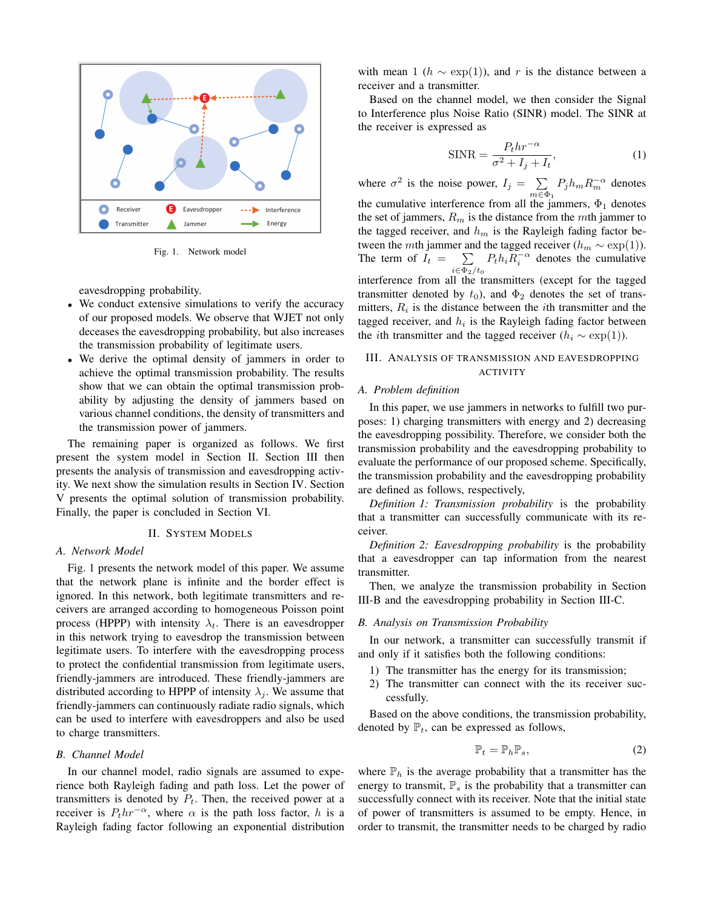

Fig. 1. Network model

eavesdropping probability.

- We conduct extensive simulations to verify the accuracy of our proposed models. We observe that WJET not only deceases the eavesdropping probability, but also increases the transmission probability of legitimate users.
- We derive the optimal density of jammers in order to achieve the optimal transmission probability. The results show that we can obtain the optimal transmission probability by adjusting the density of jammers based on various channel conditions, the density of transmitters and the transmission power of jammers.

The remaining paper is organized as follows. We first present the system model in Section II. Section III then presents the analysis of transmission and eavesdropping activity. We next show the simulation results in Section IV. Section V presents the optimal solution of transmission probability. Finally, the paper is concluded in Section VI.

#### II. SYSTEM MODELS

#### *A. Network Model*

Fig. 1 presents the network model of this paper. We assume that the network plane is infinite and the border effect is ignored. In this network, both legitimate transmitters and receivers are arranged according to homogeneous Poisson point process (HPPP) with intensity  $\lambda_t$ . There is an eavesdropper in this network trying to eavesdrop the transmission between legitimate users. To interfere with the eavesdropping process to protect the confidential transmission from legitimate users, friendly-jammers are introduced. These friendly-jammers are distributed according to HPPP of intensity  $\lambda_i$ . We assume that friendly-jammers can continuously radiate radio signals, which can be used to interfere with eavesdroppers and also be used to charge transmitters.

# *B. Channel Model*

In our channel model, radio signals are assumed to experience both Rayleigh fading and path loss. Let the power of transmitters is denoted by  $P_t$ . Then, the received power at a receiver is  $P_t h r^{-\alpha}$ , where  $\alpha$  is the path loss factor, h is a Rayleigh fading factor following an exponential distribution

with mean 1 ( $h \sim \exp(1)$ ), and r is the distance between a receiver and a transmitter.

Based on the channel model, we then consider the Signal to Interference plus Noise Ratio (SINR) model. The SINR at the receiver is expressed as

$$
\text{SINR} = \frac{P_t h r^{-\alpha}}{\sigma^2 + I_j + I_t},\tag{1}
$$

where  $\sigma^2$  is the noise power,  $I_j = \sum$  $\sum_{m \in \Phi_1} P_j h_m R_m^{-\alpha}$  denotes the cumulative interference from all the jammers,  $\Phi_1$  denotes the set of jammers,  $R_m$  is the distance from the mth jammer to the tagged receiver, and  $h_m$  is the Rayleigh fading factor between the mth jammer and the tagged receiver ( $h_m \sim \exp(1)$ ). The term of  $I_t = \sum$  $\sum_{i \in \Phi_2/t_0} P_t h_i R_i^{-\alpha}$  denotes the cumulative interference from all the transmitters (except for the tagged transmitter denoted by  $t_0$ ), and  $\Phi_2$  denotes the set of transmitters,  $R_i$  is the distance between the *i*th transmitter and the tagged receiver, and  $h_i$  is the Rayleigh fading factor between the *i*th transmitter and the tagged receiver  $(h_i \sim \exp(1)).$ 

# III. ANALYSIS OF TRANSMISSION AND EAVESDROPPING ACTIVITY

## *A. Problem definition*

In this paper, we use jammers in networks to fulfill two purposes: 1) charging transmitters with energy and 2) decreasing the eavesdropping possibility. Therefore, we consider both the transmission probability and the eavesdropping probability to evaluate the performance of our proposed scheme. Specifically, the transmission probability and the eavesdropping probability are defined as follows, respectively,

*Definition 1: Transmission probability* is the probability that a transmitter can successfully communicate with its receiver.

*Definition 2: Eavesdropping probability* is the probability that a eavesdropper can tap information from the nearest transmitter.

Then, we analyze the transmission probability in Section III-B and the eavesdropping probability in Section III-C.

#### *B. Analysis on Transmission Probability*

In our network, a transmitter can successfully transmit if and only if it satisfies both the following conditions:

- 1) The transmitter has the energy for its transmission;
- 2) The transmitter can connect with the its receiver successfully.

Based on the above conditions, the transmission probability, denoted by  $\mathbb{P}_t$ , can be expressed as follows,

$$
\mathbb{P}_t = \mathbb{P}_h \mathbb{P}_s,\tag{2}
$$

where  $\mathbb{P}_h$  is the average probability that a transmitter has the energy to transmit,  $\mathbb{P}_s$  is the probability that a transmitter can successfully connect with its receiver. Note that the initial state of power of transmitters is assumed to be empty. Hence, in order to transmit, the transmitter needs to be charged by radio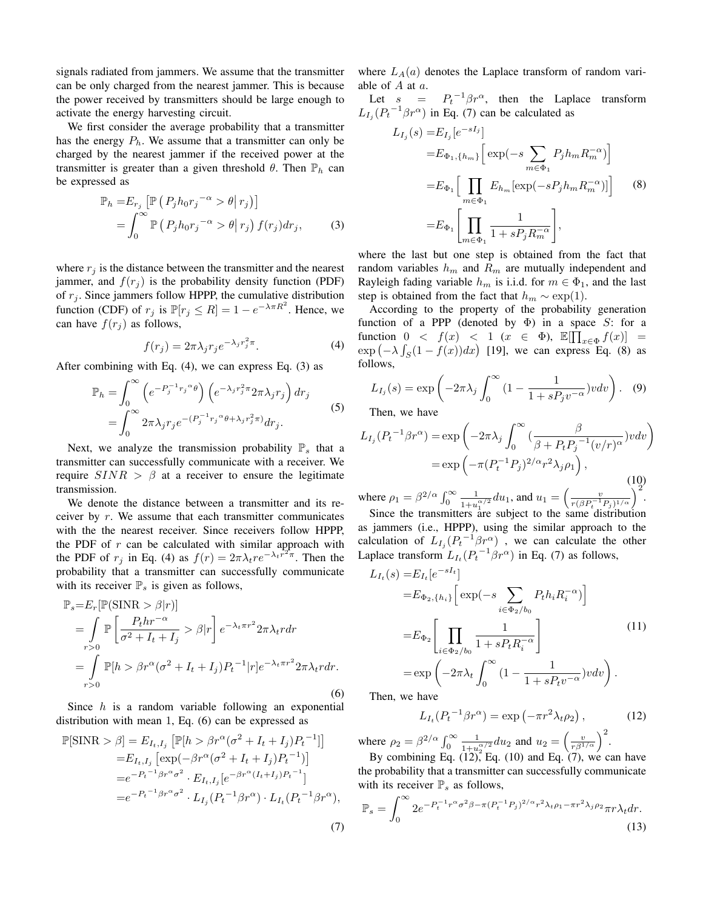signals radiated from jammers. We assume that the transmitter can be only charged from the nearest jammer. This is because the power received by transmitters should be large enough to activate the energy harvesting circuit.

We first consider the average probability that a transmitter has the energy  $P_h$ . We assume that a transmitter can only be charged by the nearest jammer if the received power at the transmitter is greater than a given threshold  $\theta$ . Then  $\mathbb{P}_h$  can be expressed as

$$
\mathbb{P}_h = E_{r_j} \left[ \mathbb{P} \left( P_j h_0 r_j^{-\alpha} > \theta | r_j \right) \right]
$$
  
= 
$$
\int_0^\infty \mathbb{P} \left( P_j h_0 r_j^{-\alpha} > \theta | r_j \right) f(r_j) dr_j,
$$
 (3)

where  $r_i$  is the distance between the transmitter and the nearest jammer, and  $f(r_i)$  is the probability density function (PDF) of  $r_i$ . Since jammers follow HPPP, the cumulative distribution function (CDF) of  $r_j$  is  $\mathbb{P}[r_j \leq R] = 1 - e^{-\lambda \pi R^2}$ . Hence, we can have  $f(r_i)$  as follows,

$$
f(r_j) = 2\pi \lambda_j r_j e^{-\lambda_j r_j^2 \pi}.
$$
 (4)

After combining with Eq. (4), we can express Eq. (3) as

$$
\mathbb{P}_h = \int_0^\infty \left( e^{-P_j^{-1} r_j^\alpha \theta} \right) \left( e^{-\lambda_j r_j^2 \pi} 2\pi \lambda_j r_j \right) dr_j
$$
  
= 
$$
\int_0^\infty 2\pi \lambda_j r_j e^{-(P_j^{-1} r_j^\alpha \theta + \lambda_j r_j^2 \pi)} dr_j.
$$
 (5)

Next, we analyze the transmission probability  $\mathbb{P}_s$  that a transmitter can successfully communicate with a receiver. We require  $SINR > \beta$  at a receiver to ensure the legitimate transmission.

We denote the distance between a transmitter and its receiver by  $r$ . We assume that each transmitter communicates with the the nearest receiver. Since receivers follow HPPP, the PDF of  $r$  can be calculated with similar approach with the PDF of  $r_j$  in Eq. (4) as  $f(r) = 2\pi \lambda_t r e^{-\lambda_t r^2 \pi}$ . Then the probability that a transmitter can successfully communicate with its receiver  $\mathbb{P}_s$  is given as follows,

$$
\mathbb{P}_{s} = E_{r}[\mathbb{P}(\text{SINR} > \beta | r)]
$$
\n
$$
= \int_{r>0} \mathbb{P}\left[\frac{P_{t}hr^{-\alpha}}{\sigma^{2} + I_{t} + I_{j}} > \beta | r\right] e^{-\lambda_{t}\pi r^{2}} 2\pi \lambda_{t} r dr
$$
\n
$$
= \int_{r>0} \mathbb{P}[h > \beta r^{\alpha}(\sigma^{2} + I_{t} + I_{j}) P_{t}^{-1} | r] e^{-\lambda_{t}\pi r^{2}} 2\pi \lambda_{t} r dr.
$$
\n(6)

Since  $h$  is a random variable following an exponential distribution with mean 1, Eq. (6) can be expressed as

$$
\mathbb{P}[\text{SINR} > \beta] = E_{I_t, I_j} \left[ \mathbb{P}[h > \beta r^{\alpha} (\sigma^2 + I_t + I_j) P_t^{-1}] \right]
$$
  
\n
$$
= E_{I_t, I_j} \left[ \exp(-\beta r^{\alpha} (\sigma^2 + I_t + I_j) P_t^{-1}) \right]
$$
  
\n
$$
= e^{-P_t^{-1} \beta r^{\alpha} \sigma^2} \cdot E_{I_t, I_j} \left[ e^{-\beta r^{\alpha} (I_t + I_j) P_t^{-1}} \right]
$$
  
\n
$$
= e^{-P_t^{-1} \beta r^{\alpha} \sigma^2} \cdot L_{I_j} (P_t^{-1} \beta r^{\alpha}) \cdot L_{I_t} (P_t^{-1} \beta r^{\alpha}),
$$

where  $L_A(a)$  denotes the Laplace transform of random variable of  $A$  at  $a$ .

Let  $s = P_t^{-1} \beta r^{\alpha}$ , then the Laplace transform  $L_{I_j}(P_t^{-1}\beta r^{\alpha})$  in Eq. (7) can be calculated as

$$
L_{I_j}(s) = E_{I_j}[e^{-sI_j}]
$$
  
\n
$$
= E_{\Phi_1, \{h_m\}} \Big[ \exp(-s \sum_{m \in \Phi_1} P_j h_m R_m^{-\alpha}) \Big]
$$
  
\n
$$
= E_{\Phi_1} \Big[ \prod_{m \in \Phi_1} E_{h_m} [\exp(-s P_j h_m R_m^{-\alpha})] \Big] \qquad (8)
$$
  
\n
$$
= E_{\Phi_1} \Big[ \prod_{m \in \Phi_1} \frac{1}{1 + s P_j R_m^{-\alpha}} \Big],
$$

where the last but one step is obtained from the fact that random variables  $h_m$  and  $R_m$  are mutually independent and Rayleigh fading variable  $h_m$  is i.i.d. for  $m \in \Phi_1$ , and the last step is obtained from the fact that  $h_m \sim \exp(1)$ .

According to the property of the probability generation function of a PPP (denoted by  $\Phi$ ) in a space S: for a function  $0 \lt f(x) \lt 1 \ (x \in \Phi)$ ,  $\mathbb{E}[\prod_{x \in \Phi} f(x)] =$  $\exp(-\lambda \int_S (1 - f(x)) dx)$  [19], we can express Eq. (8) as follows,

$$
L_{I_j}(s) = \exp\left(-2\pi\lambda_j \int_0^\infty \left(1 - \frac{1}{1 + sP_j v^{-\alpha}}\right)v dv\right).
$$
 (9)

Then, we have

$$
L_{I_j}(P_t^{-1}\beta r^{\alpha}) = \exp\left(-2\pi\lambda_j \int_0^{\infty} \left(\frac{\beta}{\beta + P_t P_j^{-1}(v/r)^{\alpha}}\right) v dv\right)
$$

$$
= \exp\left(-\pi (P_t^{-1} P_j)^{2/\alpha} r^2 \lambda_j \rho_1\right),\tag{10}
$$

where  $\rho_1 = \beta^{2/\alpha} \int_0^\infty \frac{1}{1+u^2}$  $\frac{1}{1+u_1^{\alpha/2}}du_1$ , and  $u_1 = \left(\frac{v}{r(\beta P_t^{-1}P_j)^{1/\alpha}}\right)^2$ . Since the transmitters are subject to the same distribution

as jammers (i.e., HPPP), using the similar approach to the calculation of  $L_{I_j}(P_t^{-1}\beta r^{\alpha})$ , we can calculate the other Laplace transform  $L_{I_t}(P_t^{-1}\beta r^{\alpha})$  in Eq. (7) as follows,

$$
L_{I_t}(s) = E_{I_t}[e^{-sI_t}]
$$
  
\n
$$
= E_{\Phi_2, \{h_i\}} \left[ \exp(-s \sum_{i \in \Phi_2/b_0} P_t h_i R_i^{-\alpha}) \right]
$$
  
\n
$$
= E_{\Phi_2} \left[ \prod_{i \in \Phi_2/b_0} \frac{1}{1 + s P_t R_i^{-\alpha}} \right]
$$
  
\n
$$
= \exp\left(-2\pi \lambda_t \int_0^\infty \left(1 - \frac{1}{1 + s P_t v^{-\alpha}}\right) v dv\right).
$$
  
\nThen we have

I hen, we have

(7)

$$
L_{I_t}(P_t^{-1}\beta r^{\alpha}) = \exp\left(-\pi r^2 \lambda_t \rho_2\right),\tag{12}
$$

where  $\rho_2 = \beta^{2/\alpha} \int_0^\infty \frac{1}{1 + u^2}$  $\frac{1}{1+u_2^{\alpha/2}}du_2$  and  $u_2=\left(\frac{v}{r\beta^{1/\alpha}}\right)^2$ .

By combining Eq.  $(12)$ , Eq.  $(10)$  and Eq.  $(7)$ , we can have the probability that a transmitter can successfully communicate with its receiver  $\mathbb{P}_s$  as follows,

$$
\mathbb{P}_s = \int_0^\infty 2e^{-P_t^{-1}r^\alpha \sigma^2 \beta - \pi (P_t^{-1}P_j)^{2/\alpha}r^2 \lambda_t \rho_1 - \pi r^2 \lambda_j \rho_2} \pi r \lambda_t dr.
$$
\n(13)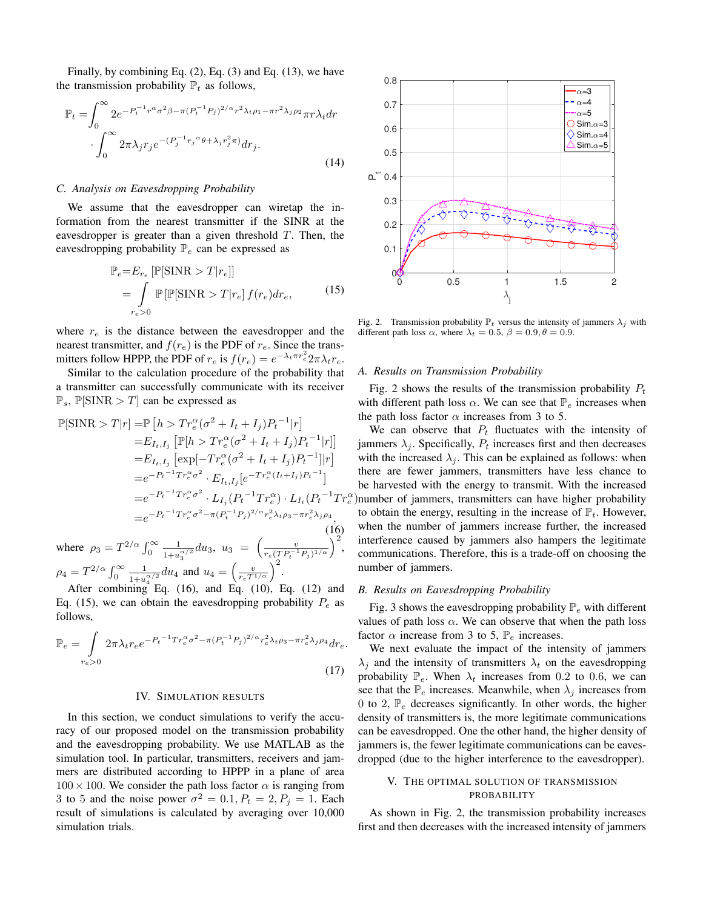Finally, by combining Eq.  $(2)$ , Eq.  $(3)$  and Eq.  $(13)$ , we have the transmission probability  $\mathbb{P}_t$  as follows,

$$
\mathbb{P}_{t} = \int_{0}^{\infty} 2e^{-P_{t}^{-1}r^{\alpha}\sigma^{2}\beta - \pi(P_{t}^{-1}P_{j})^{2/\alpha}r^{2}\lambda_{t}\rho_{1} - \pi r^{2}\lambda_{j}\rho_{2}}\pi r\lambda_{t}dr
$$

$$
\cdot \int_{0}^{\infty} 2\pi\lambda_{j}r_{j}e^{-(P_{j}^{-1}r_{j}{}^{\alpha}\theta + \lambda_{j}r_{j}^{2}\pi)}dr_{j}.
$$
\n(14)

## *C. Analysis on Eavesdropping Probability*

We assume that the eavesdropper can wiretap the information from the nearest transmitter if the SINR at the eavesdropper is greater than a given threshold  $T$ . Then, the eavesdropping probability  $\mathbb{P}_e$  can be expressed as

$$
\mathbb{P}_e = E_{r_e} \left[ \mathbb{P}[\text{SINR} > T | r_e] \right]
$$

$$
= \int_{r_e > 0} \mathbb{P} \left[ \mathbb{P}[\text{SINR} > T | r_e] f(r_e) dr_e, \right] \tag{15}
$$

where  $r_e$  is the distance between the eavesdropper and the nearest transmitter, and  $f(r_e)$  is the PDF of  $r_e$ . Since the transmitters follow HPPP, the PDF of  $r_e$  is  $f(r_e) = e^{-\lambda_t \pi r_e^2} 2\pi \lambda_t r_e$ .

Similar to the calculation procedure of the probability that a transmitter can successfully communicate with its receiver  $\mathbb{P}_s$ ,  $\mathbb{P}[\text{SINR} > T]$  can be expressed as

$$
\mathbb{P}[\text{SINR} > T|r] = \mathbb{P}\left[h > Tr_e^{\alpha}(\sigma^2 + I_t + I_j)P_t^{-1}|r\right]
$$
\n
$$
= E_{I_t, I_j} \left[\mathbb{P}[h > Tr_e^{\alpha}(\sigma^2 + I_t + I_j)P_t^{-1}|r]\right]
$$
\n
$$
= E_{I_t, I_j} \left[\exp[-Tr_e^{\alpha}(\sigma^2 + I_t + I_j)P_t^{-1}]|r\right]
$$
\n
$$
= e^{-P_t^{-1}Tr_e^{\alpha}\sigma^2} \cdot E_{I_t, I_j} \left[e^{-Tr_e^{\alpha}(I_t + I_j)P_t^{-1}}\right]
$$
\n
$$
= e^{-P_t^{-1}Tr_e^{\alpha}\sigma^2} \cdot L_{I_j} (P_t^{-1}Tr_e^{\alpha}) \cdot L_{I_t} (P_t^{-1}Tr_e^{\alpha})
$$
\n
$$
= e^{-P_t^{-1}Tr_e^{\alpha}\sigma^2 - \pi (P_t^{-1}P_j)^{2/\alpha}r_e^2\lambda_t\rho_3 - \pi r_e^2\lambda_j\rho_4}, \tag{16}
$$

where  $\rho_3 = T^{2/\alpha} \int_0^\infty \frac{1}{1+u^2}$  $\frac{1}{1+u_3^{\alpha/2}}du_3, \; u_3 \; = \; \biggl(\frac{v}{r_e(T P_t^{-1} P_j)^{1/\alpha}}\biggr)^2,$  $\rho_4 = T^{2/\alpha} \int_0^\infty \frac{1}{1+u}$  $\frac{1}{1+u_4^{\alpha/2}}du_4$  and  $u_4 = \left(\frac{v}{r_e T^{1/\alpha}}\right)^2$ .

After combining Eq. (16), and Eq. (10), Eq. (12) and Eq. (15), we can obtain the eavesdropping probability  $P_e$  as follows,

$$
\mathbb{P}_e = \int_{r_e>0} 2\pi \lambda_t r_e e^{-P_t^{-1} Tr_e^{\alpha} \sigma^2 - \pi (P_t^{-1} P_j)^{2/\alpha} r_e^2 \lambda_t \rho_3 - \pi r_e^2 \lambda_j \rho_4} dr_e.
$$
\n(17)

#### IV. SIMULATION RESULTS

In this section, we conduct simulations to verify the accuracy of our proposed model on the transmission probability and the eavesdropping probability. We use MATLAB as the simulation tool. In particular, transmitters, receivers and jammers are distributed according to HPPP in a plane of area  $100 \times 100$ . We consider the path loss factor  $\alpha$  is ranging from 3 to 5 and the noise power  $\sigma^2 = 0.1, P_t = 2, P_j = 1$ . Each result of simulations is calculated by averaging over 10,000 simulation trials.



Fig. 2. Transmission probability  $\mathbb{P}_t$  versus the intensity of jammers  $\lambda_i$  with different path loss  $\alpha$ , where  $\lambda_t = 0.5$ ,  $\beta = 0.9$ ,  $\theta = 0.9$ .

### *A. Results on Transmission Probability*

Fig. 2 shows the results of the transmission probability  $P_t$ with different path loss  $\alpha$ . We can see that  $\mathbb{P}_e$  increases when the path loss factor  $\alpha$  increases from 3 to 5.

) number of jammers, transmitters can have higher probability We can observe that  $P_t$  fluctuates with the intensity of jammers  $\lambda_i$ . Specifically,  $P_t$  increases first and then decreases with the increased  $\lambda_j$ . This can be explained as follows: when there are fewer jammers, transmitters have less chance to be harvested with the energy to transmit. With the increased to obtain the energy, resulting in the increase of  $\mathbb{P}_t$ . However, when the number of jammers increase further, the increased interference caused by jammers also hampers the legitimate communications. Therefore, this is a trade-off on choosing the number of jammers.

#### *B. Results on Eavesdropping Probability*

Fig. 3 shows the eavesdropping probability  $\mathbb{P}_e$  with different values of path loss  $\alpha$ . We can observe that when the path loss factor  $\alpha$  increase from 3 to 5,  $\mathbb{P}_e$  increases.

We next evaluate the impact of the intensity of jammers  $\lambda_i$  and the intensity of transmitters  $\lambda_t$  on the eavesdropping probability  $\mathbb{P}_e$ . When  $\lambda_t$  increases from 0.2 to 0.6, we can see that the  $\mathbb{P}_e$  increases. Meanwhile, when  $\lambda_i$  increases from 0 to 2,  $\mathbb{P}_e$  decreases significantly. In other words, the higher density of transmitters is, the more legitimate communications can be eavesdropped. One the other hand, the higher density of jammers is, the fewer legitimate communications can be eavesdropped (due to the higher interference to the eavesdropper).

# V. THE OPTIMAL SOLUTION OF TRANSMISSION PROBABILITY

As shown in Fig. 2, the transmission probability increases first and then decreases with the increased intensity of jammers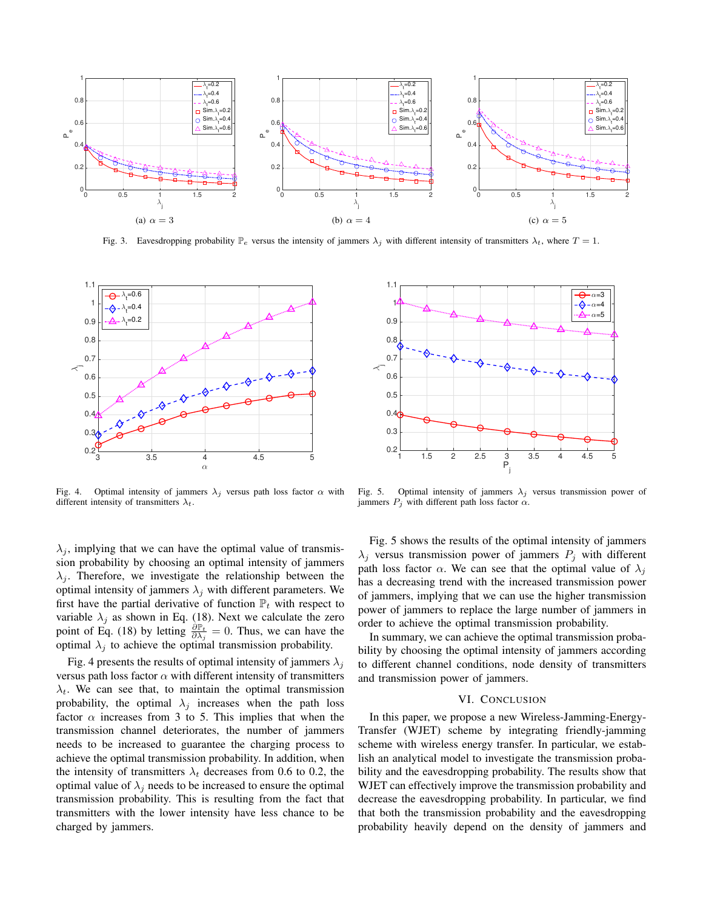

Fig. 3. Eavesdropping probability  $\mathbb{P}_e$  versus the intensity of jammers  $\lambda_j$  with different intensity of transmitters  $\lambda_t$ , where  $T = 1$ .



Fig. 4. Optimal intensity of jammers  $\lambda_i$  versus path loss factor  $\alpha$  with different intensity of transmitters  $\lambda_t$ .

 $\lambda_j$ , implying that we can have the optimal value of transmission probability by choosing an optimal intensity of jammers  $\lambda_i$ . Therefore, we investigate the relationship between the optimal intensity of jammers  $\lambda_i$  with different parameters. We first have the partial derivative of function  $\mathbb{P}_t$  with respect to variable  $\lambda_j$  as shown in Eq. (18). Next we calculate the zero point of Eq. (18) by letting  $\frac{\partial P_t}{\partial \lambda_j} = 0$ . Thus, we can have the optimal  $\lambda_j$  to achieve the optimal transmission probability.

Fig. 4 presents the results of optimal intensity of jammers  $\lambda_i$ versus path loss factor  $\alpha$  with different intensity of transmitters  $\lambda_t$ . We can see that, to maintain the optimal transmission probability, the optimal  $\lambda_j$  increases when the path loss factor  $\alpha$  increases from 3 to 5. This implies that when the transmission channel deteriorates, the number of jammers needs to be increased to guarantee the charging process to achieve the optimal transmission probability. In addition, when the intensity of transmitters  $\lambda_t$  decreases from 0.6 to 0.2, the optimal value of  $\lambda_i$  needs to be increased to ensure the optimal transmission probability. This is resulting from the fact that transmitters with the lower intensity have less chance to be charged by jammers.



Fig. 5. Optimal intensity of jammers  $\lambda_j$  versus transmission power of jammers  $P_i$  with different path loss factor  $\alpha$ .

Fig. 5 shows the results of the optimal intensity of jammers  $\lambda_j$  versus transmission power of jammers  $P_j$  with different path loss factor  $\alpha$ . We can see that the optimal value of  $\lambda_i$ has a decreasing trend with the increased transmission power of jammers, implying that we can use the higher transmission power of jammers to replace the large number of jammers in order to achieve the optimal transmission probability.

In summary, we can achieve the optimal transmission probability by choosing the optimal intensity of jammers according to different channel conditions, node density of transmitters and transmission power of jammers.

# VI. CONCLUSION

In this paper, we propose a new Wireless-Jamming-Energy-Transfer (WJET) scheme by integrating friendly-jamming scheme with wireless energy transfer. In particular, we establish an analytical model to investigate the transmission probability and the eavesdropping probability. The results show that WJET can effectively improve the transmission probability and decrease the eavesdropping probability. In particular, we find that both the transmission probability and the eavesdropping probability heavily depend on the density of jammers and